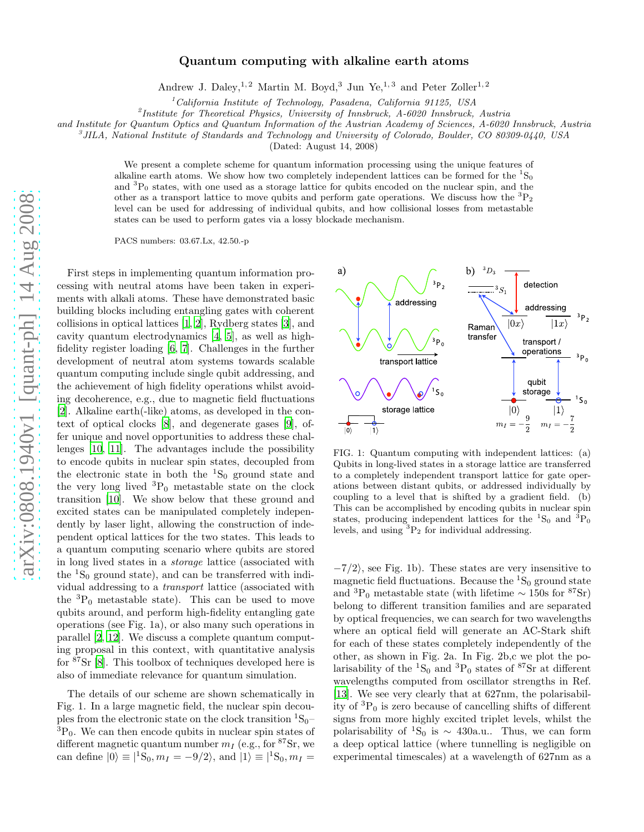## Quantum computing with alkaline earth atoms

Andrew J. Daley,<sup>1,2</sup> Martin M. Boyd,<sup>3</sup> Jun Ye,<sup>1,3</sup> and Peter Zoller<sup>1,2</sup>

 $1$ California Institute of Technology, Pasadena, California 91125, USA

<sup>2</sup>Institute for Theoretical Physics, University of Innsbruck, A-6020 Innsbruck, Austria

and Institute for Quantum Optics and Quantum Information of the Austrian Academy of Sciences, A-6020 Innsbruck, Austria

<sup>3</sup>JILA, National Institute of Standards and Technology and University of Colorado, Boulder, CO 80309-0440, USA

(Dated: August 14, 2008)

We present a complete scheme for quantum information processing using the unique features of alkaline earth atoms. We show how two completely independent lattices can be formed for the  ${}^{1}S_{0}$ and  ${}^{3}P_{0}$  states, with one used as a storage lattice for qubits encoded on the nuclear spin, and the other as a transport lattice to move qubits and perform gate operations. We discuss how the  ${}^{3}P_{2}$ level can be used for addressing of individual qubits, and how collisional losses from metastable states can be used to perform gates via a lossy blockade mechanism.

PACS numbers: 03.67.Lx, 42.50.-p

First steps in implementing quantum information processing with neutral atoms have been taken in experiments with alkali atoms. These have demonstrated basic building blocks including entangling gates with coherent collisions in optical lattices [\[1](#page-3-0), [2\]](#page-3-1), Rydberg states [\[3\]](#page-3-2), and cavity quantum electrodynamics [\[4](#page-3-3), [5](#page-3-4)], as well as highfidelity register loading [\[6,](#page-3-5) [7\]](#page-3-6). Challenges in the further development of neutral atom systems towards scalable quantum computing include single qubit addressing, and the achievement of high fidelity operations whilst avoiding decoherence, e.g., due to magnetic field fluctuations [\[2\]](#page-3-1). Alkaline earth(-like) atoms, as developed in the context of optical clocks [\[8\]](#page-3-7), and degenerate gases [\[9](#page-3-8)], offer unique and novel opportunities to address these challenges [\[10](#page-3-9), [11\]](#page-3-10). The advantages include the possibility to encode qubits in nuclear spin states, decoupled from the electronic state in both the  ${}^{1}S_{0}$  ground state and the very long lived  ${}^{3}P_0$  metastable state on the clock transition [\[10](#page-3-9)]. We show below that these ground and excited states can be manipulated completely independently by laser light, allowing the construction of independent optical lattices for the two states. This leads to a quantum computing scenario where qubits are stored in long lived states in a storage lattice (associated with the  ${}^{1}S_{0}$  ground state), and can be transferred with individual addressing to a transport lattice (associated with the  ${}^{3}P_0$  metastable state). This can be used to move qubits around, and perform high-fidelity entangling gate operations (see Fig. 1a), or also many such operations in parallel [\[2,](#page-3-1) [12\]](#page-3-11). We discuss a complete quantum computing proposal in this context, with quantitative analysis for <sup>87</sup>Sr [\[8\]](#page-3-7). This toolbox of techniques developed here is also of immediate relevance for quantum simulation.

The details of our scheme are shown schematically in Fig. 1. In a large magnetic field, the nuclear spin decouples from the electronic state on the clock transition  ${}^{1}S_{0}$ –  ${}^{3}P_{0}$ . We can then encode qubits in nuclear spin states of different magnetic quantum number  $m_I$  (e.g., for <sup>87</sup>Sr, we can define  $|0\rangle \equiv |{}^1S_0, m_I = -9/2\rangle$ , and  $|1\rangle \equiv |{}^1S_0, m_I =$ 



FIG. 1: Quantum computing with independent lattices: (a) Qubits in long-lived states in a storage lattice are transferred to a completely independent transport lattice for gate operations between distant qubits, or addressed individually by coupling to a level that is shifted by a gradient field. (b) This can be accomplished by encoding qubits in nuclear spin states, producing independent lattices for the  ${}^{1}S_{0}$  and  ${}^{3}P_{0}$ levels, and using  ${}^{3}P_{2}$  for individual addressing.

 $-\frac{7}{2}$ , see Fig. 1b). These states are very insensitive to magnetic field fluctuations. Because the  ${}^{1}S_{0}$  ground state and  ${}^{3}P_0$  metastable state (with lifetime ~ 150s for  ${}^{87}\text{Sr}$ ) belong to different transition families and are separated by optical frequencies, we can search for two wavelengths where an optical field will generate an AC-Stark shift for each of these states completely independently of the other, as shown in Fig. 2a. In Fig. 2b,c we plot the polarisability of the  ${}^{1}S_{0}$  and  ${}^{3}P_{0}$  states of  ${}^{87}Sr$  at different wavelengths computed from oscillator strengths in Ref. [\[13\]](#page-3-12). We see very clearly that at 627nm, the polarisability of  ${}^{3}P_{0}$  is zero because of cancelling shifts of different signs from more highly excited triplet levels, whilst the polarisability of <sup>1</sup>S<sub>0</sub> is ~ 430a.u.. Thus, we can form a deep optical lattice (where tunnelling is negligible on experimental timescales) at a wavelength of 627nm as a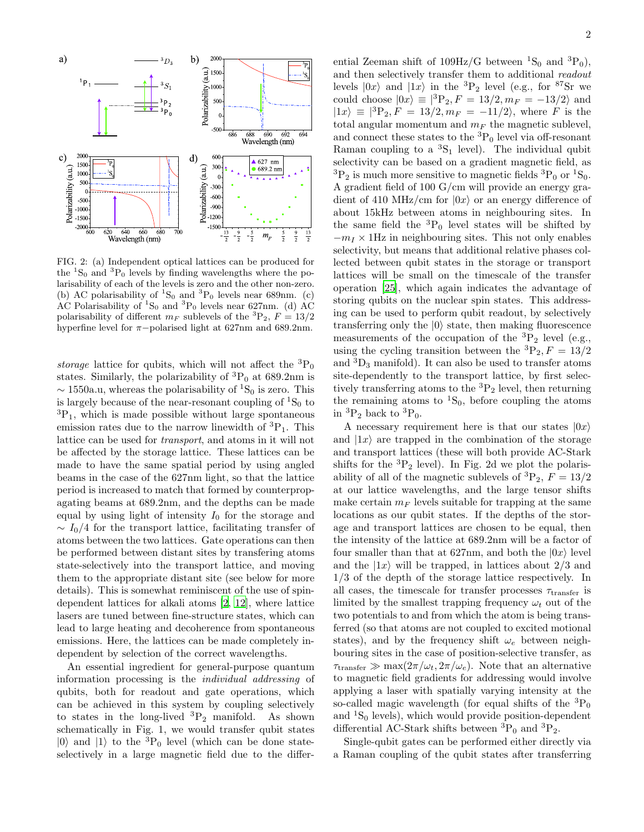

FIG. 2: (a) Independent optical lattices can be produced for the  ${}^{1}S_{0}$  and  ${}^{3}P_{0}$  levels by finding wavelengths where the polarisability of each of the levels is zero and the other non-zero. (b) AC polarisability of  ${}^{1}S_{0}$  and  ${}^{3}P_{0}$  levels near 689nm. (c) AC Polarisability of  ${}^{1}S_{0}$  and  ${}^{3}P_{0}$  levels near 627nm. (d) AC polarisability of different  $m_F$  sublevels of the <sup>3</sup>P<sub>2</sub>,  $F = 13/2$ hyperfine level for π−polarised light at 627nm and 689.2nm.

storage lattice for qubits, which will not affect the  ${}^{3}P_{0}$ states. Similarly, the polarizability of  ${}^{3}P_0$  at 689.2nm is  $\sim$  1550a.u, whereas the polarisability of <sup>1</sup>S<sub>0</sub> is zero. This is largely because of the near-resonant coupling of  ${}^{1}S_{0}$  to  ${}^{3}P_{1}$ , which is made possible without large spontaneous emission rates due to the narrow linewidth of  ${}^{3}P_{1}$ . This lattice can be used for transport, and atoms in it will not be affected by the storage lattice. These lattices can be made to have the same spatial period by using angled beams in the case of the 627nm light, so that the lattice period is increased to match that formed by counterpropagating beams at 689.2nm, and the depths can be made equal by using light of intensity  $I_0$  for the storage and  $\sim I_0/4$  for the transport lattice, facilitating transfer of atoms between the two lattices. Gate operations can then be performed between distant sites by transfering atoms state-selectively into the transport lattice, and moving them to the appropriate distant site (see below for more details). This is somewhat reminiscent of the use of spindependent lattices for alkali atoms [\[2,](#page-3-1) [12\]](#page-3-11), where lattice lasers are tuned between fine-structure states, which can lead to large heating and decoherence from spontaneous emissions. Here, the lattices can be made completely independent by selection of the correct wavelengths.

An essential ingredient for general-purpose quantum information processing is the individual addressing of qubits, both for readout and gate operations, which can be achieved in this system by coupling selectively to states in the long-lived  ${}^{3}P_{2}$  manifold. As shown schematically in Fig. 1, we would transfer qubit states  $|0\rangle$  and  $|1\rangle$  to the <sup>3</sup>P<sub>0</sub> level (which can be done stateselectively in a large magnetic field due to the differ-

ential Zeeman shift of  $109\text{Hz/G}$  between  ${}^{1}S_{0}$  and  ${}^{3}P_{0}$ ), and then selectively transfer them to additional readout levels  $|0x\rangle$  and  $|1x\rangle$  in the <sup>3</sup>P<sub>2</sub> level (e.g., for <sup>87</sup>Sr we could choose  $|0x\rangle \equiv |^{3}P_2, F = 13/2, m_F = -13/2$  and  $|1x\rangle = |^{3}P_2, F = 13/2, m_F = -11/2$ , where F is the total angular momentum and  $m_F$  the magnetic sublevel, and connect these states to the  ${}^{3}P_{0}$  level via off-resonant Raman coupling to a  ${}^{3}S_{1}$  level). The individual qubit selectivity can be based on a gradient magnetic field, as  ${}^{3}P_{2}$  is much more sensitive to magnetic fields  ${}^{3}P_{0}$  or  ${}^{1}S_{0}$ . A gradient field of 100 G/cm will provide an energy gradient of 410 MHz/cm for  $|0x\rangle$  or an energy difference of about 15kHz between atoms in neighbouring sites. In the same field the  ${}^{3}P_0$  level states will be shifted by  $-m<sub>I</sub>$  × 1Hz in neighbouring sites. This not only enables selectivity, but means that additional relative phases collected between qubit states in the storage or transport lattices will be small on the timescale of the transfer operation [\[25\]](#page-4-0), which again indicates the advantage of storing qubits on the nuclear spin states. This addressing can be used to perform qubit readout, by selectively transferring only the  $|0\rangle$  state, then making fluorescence measurements of the occupation of the  ${}^{3}P_{2}$  level (e.g., using the cycling transition between the  ${}^{3}P_{2}$ ,  $F = 13/2$ and  ${}^{3}D_3$  manifold). It can also be used to transfer atoms site-dependently to the transport lattice, by first selectively transferring atoms to the  ${}^{3}P_{2}$  level, then returning the remaining atoms to  ${}^{1}S_{0}$ , before coupling the atoms in  ${}^{3}P_{2}$  back to  ${}^{3}P_{0}$ .

A necessary requirement here is that our states  $|0x\rangle$ and  $|1x\rangle$  are trapped in the combination of the storage and transport lattices (these will both provide AC-Stark shifts for the  ${}^{3}P_{2}$  level). In Fig. 2d we plot the polarisability of all of the magnetic sublevels of  ${}^{3}P_{2}$ ,  $F = 13/2$ at our lattice wavelengths, and the large tensor shifts make certain  $m_F$  levels suitable for trapping at the same locations as our qubit states. If the depths of the storage and transport lattices are chosen to be equal, then the intensity of the lattice at 689.2nm will be a factor of four smaller than that at 627nm, and both the  $|0x\rangle$  level and the  $|1x\rangle$  will be trapped, in lattices about  $2/3$  and 1/3 of the depth of the storage lattice respectively. In all cases, the timescale for transfer processes  $\tau_\mathrm{transfer}$  is limited by the smallest trapping frequency  $\omega_t$  out of the two potentials to and from which the atom is being transferred (so that atoms are not coupled to excited motional states), and by the frequency shift  $\omega_e$  between neighbouring sites in the case of position-selective transfer, as  $\tau_{\text{transfer}} \gg \max(2\pi/\omega_t, 2\pi/\omega_e)$ . Note that an alternative to magnetic field gradients for addressing would involve applying a laser with spatially varying intensity at the so-called magic wavelength (for equal shifts of the  ${}^{3}P_0$ and  ${}^{1}S_{0}$  levels), which would provide position-dependent differential AC-Stark shifts between  ${}^{3}P_0$  and  ${}^{3}P_2$ .

Single-qubit gates can be performed either directly via a Raman coupling of the qubit states after transferring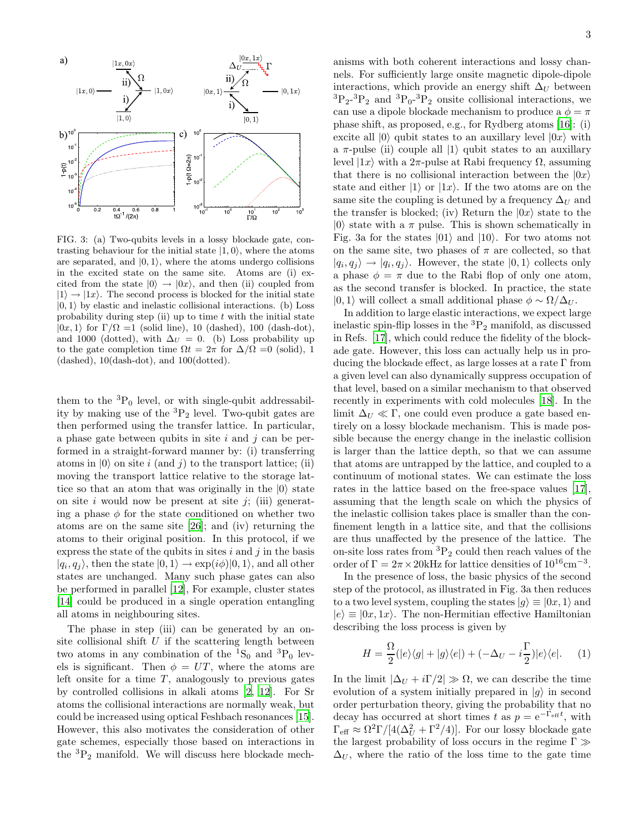

FIG. 3: (a) Two-qubits levels in a lossy blockade gate, contrasting behaviour for the initial state  $|1, 0\rangle$ , where the atoms are separated, and  $|0, 1\rangle$ , where the atoms undergo collisions in the excited state on the same site. Atoms are (i) excited from the state  $|0\rangle \rightarrow |0x\rangle$ , and then (ii) coupled from  $|1\rangle \rightarrow |1x\rangle$ . The second process is blocked for the initial state  $|0, 1\rangle$  by elastic and inelastic collisional interactions. (b) Loss probability during step (ii) up to time  $t$  with the initial state  $|0x, 1\rangle$  for  $\Gamma/\Omega = 1$  (solid line), 10 (dashed), 100 (dash-dot), and 1000 (dotted), with  $\Delta U = 0$ . (b) Loss probability up to the gate completion time  $\Omega t = 2\pi$  for  $\Delta/\Omega = 0$  (solid), 1 (dashed), 10(dash-dot), and 100(dotted).

them to the  ${}^{3}P_0$  level, or with single-qubit addressability by making use of the  ${}^{3}P_{2}$  level. Two-qubit gates are then performed using the transfer lattice. In particular, a phase gate between qubits in site  $i$  and  $j$  can be performed in a straight-forward manner by: (i) transferring atoms in  $|0\rangle$  on site i (and j) to the transport lattice; (ii) moving the transport lattice relative to the storage lattice so that an atom that was originally in the  $|0\rangle$  state on site i would now be present at site j; (iii) generating a phase  $\phi$  for the state conditioned on whether two atoms are on the same site [\[26](#page-4-1)]; and (iv) returning the atoms to their original position. In this protocol, if we express the state of the qubits in sites  $i$  and  $j$  in the basis  $|q_i, q_j\rangle$ , then the state  $|0, 1\rangle \rightarrow \exp(i\phi)|0, 1\rangle$ , and all other states are unchanged. Many such phase gates can also be performed in parallel [\[12](#page-3-11)], For example, cluster states [\[14\]](#page-3-13) could be produced in a single operation entangling all atoms in neighbouring sites.

The phase in step (iii) can be generated by an onsite collisional shift  $U$  if the scattering length between two atoms in any combination of the  ${}^{1}S_{0}$  and  ${}^{3}P_{0}$  levels is significant. Then  $\phi = UT$ , where the atoms are left onsite for a time  $T$ , analogously to previous gates by controlled collisions in alkali atoms [\[2](#page-3-1), [12\]](#page-3-11). For Sr atoms the collisional interactions are normally weak, but could be increased using optical Feshbach resonances [\[15\]](#page-3-14). However, this also motivates the consideration of other gate schemes, especially those based on interactions in the  ${}^{3}P_{2}$  manifold. We will discuss here blockade mech-

anisms with both coherent interactions and lossy channels. For sufficiently large onsite magnetic dipole-dipole interactions, which provide an energy shift  $\Delta_U$  between  ${}^{3}P_{2}$ - ${}^{3}P_{2}$  and  ${}^{3}P_{0}$ - ${}^{3}P_{2}$  onsite collisional interactions, we can use a dipole blockade mechanism to produce a  $\phi = \pi$ phase shift, as proposed, e.g., for Rydberg atoms [\[16\]](#page-3-15): (i) excite all  $|0\rangle$  qubit states to an auxillary level  $|0x\rangle$  with a  $\pi$ -pulse (ii) couple all  $|1\rangle$  qubit states to an auxillary level  $|1x\rangle$  with a 2π-pulse at Rabi frequency Ω, assuming that there is no collisional interaction between the  $|0x\rangle$ state and either  $|1\rangle$  or  $|1x\rangle$ . If the two atoms are on the same site the coupling is detuned by a frequency  $\Delta_U$  and the transfer is blocked; (iv) Return the  $|0x\rangle$  state to the  $|0\rangle$  state with a  $\pi$  pulse. This is shown schematically in Fig. 3a for the states  $|01\rangle$  and  $|10\rangle$ . For two atoms not on the same site, two phases of  $\pi$  are collected, so that  $|q_i, q_j\rangle \rightarrow |q_i, q_j\rangle$ . However, the state  $|0, 1\rangle$  collects only a phase  $\phi = \pi$  due to the Rabi flop of only one atom, as the second transfer is blocked. In practice, the state  $|0, 1\rangle$  will collect a small additional phase  $\phi \sim \Omega/\Delta_U$ .

In addition to large elastic interactions, we expect large inelastic spin-flip losses in the  ${}^{3}P_{2}$  manifold, as discussed in Refs. [\[17\]](#page-3-16), which could reduce the fidelity of the blockade gate. However, this loss can actually help us in producing the blockade effect, as large losses at a rate  $\Gamma$  from a given level can also dynamically suppress occupation of that level, based on a similar mechanism to that observed recently in experiments with cold molecules [\[18\]](#page-3-17). In the limit  $\Delta_U \ll \Gamma$ , one could even produce a gate based entirely on a lossy blockade mechanism. This is made possible because the energy change in the inelastic collision is larger than the lattice depth, so that we can assume that atoms are untrapped by the lattice, and coupled to a continuum of motional states. We can estimate the loss rates in the lattice based on the free-space values [\[17\]](#page-3-16), assuming that the length scale on which the physics of the inelastic collision takes place is smaller than the confinement length in a lattice site, and that the collisions are thus unaffected by the presence of the lattice. The on-site loss rates from  ${}^{3}P_{2}$  could then reach values of the order of  $\Gamma = 2\pi \times 20$ kHz for lattice densities of  $10^{16}$ cm<sup>-3</sup>.

In the presence of loss, the basic physics of the second step of the protocol, as illustrated in Fig. 3a then reduces to a two level system, coupling the states  $|g\rangle \equiv |0x,1\rangle$  and  $|e\rangle \equiv |0x, 1x\rangle$ . The non-Hermitian effective Hamiltonian describing the loss process is given by

$$
H = \frac{\Omega}{2} (|e\rangle\langle g| + |g\rangle\langle e|) + (-\Delta_U - i\frac{\Gamma}{2})|e\rangle\langle e|. \quad (1)
$$

In the limit  $|\Delta_U + i\Gamma/2| \gg \Omega$ , we can describe the time evolution of a system initially prepared in  $|g\rangle$  in second order perturbation theory, giving the probability that no decay has occurred at short times t as  $p = e^{-\Gamma_{\text{eff}}t}$ , with  $\Gamma_{\text{eff}} \approx \Omega^2 \Gamma / [4(\Delta_U^2 + \Gamma^2/4)]$ . For our lossy blockade gate the largest probability of loss occurs in the regime  $\Gamma \gg$  $\Delta_U$ , where the ratio of the loss time to the gate time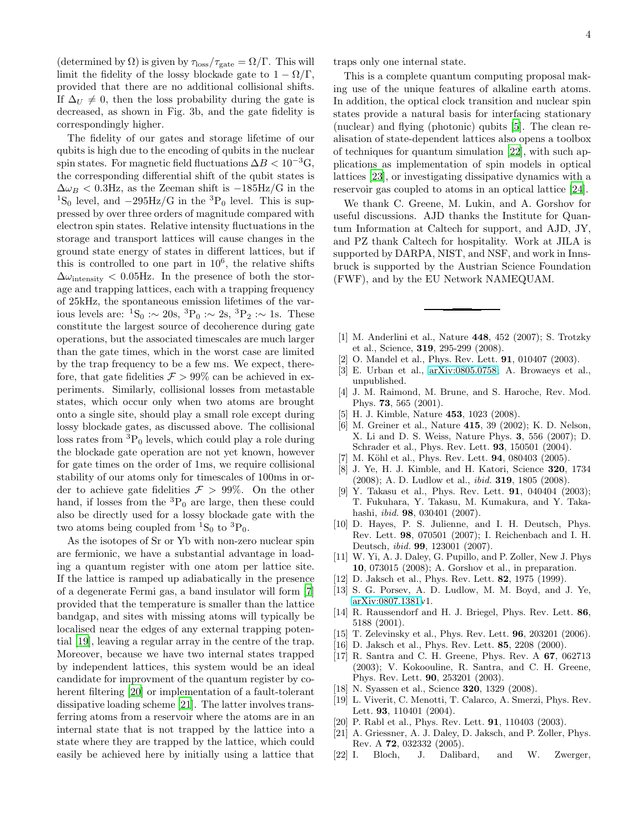(determined by  $\Omega$ ) is given by  $\tau_{\text{loss}}/\tau_{\text{gate}} = \Omega/\Gamma$ . This will limit the fidelity of the lossy blockade gate to  $1 - \Omega/\Gamma$ , provided that there are no additional collisional shifts. If  $\Delta_U \neq 0$ , then the loss probability during the gate is decreased, as shown in Fig. 3b, and the gate fidelity is correspondingly higher.

The fidelity of our gates and storage lifetime of our qubits is high due to the encoding of qubits in the nuclear spin states. For magnetic field fluctuations  $\Delta B < 10^{-3}$ G, the corresponding differential shift of the qubit states is  $\Delta \omega_B < 0.3$ Hz, as the Zeeman shift is  $-185$ Hz/G in the <sup>1</sup>S<sub>0</sub> level, and  $-295\text{Hz/G}$  in the <sup>3</sup>P<sub>0</sub> level. This is suppressed by over three orders of magnitude compared with electron spin states. Relative intensity fluctuations in the storage and transport lattices will cause changes in the ground state energy of states in different lattices, but if this is controlled to one part in  $10^6$ , the relative shifts  $\Delta\omega_{\rm intensity}$  < 0.05Hz. In the presence of both the storage and trapping lattices, each with a trapping frequency of 25kHz, the spontaneous emission lifetimes of the various levels are:  ${}^{1}S_{0}$  :∼  $20s, {}^{3}P_{0}$  :∼  $2s, {}^{3}P_{2}$  :∼ 1s. These constitute the largest source of decoherence during gate operations, but the associated timescales are much larger than the gate times, which in the worst case are limited by the trap frequency to be a few ms. We expect, therefore, that gate fidelities  $\mathcal{F} > 99\%$  can be achieved in experiments. Similarly, collisional losses from metastable states, which occur only when two atoms are brought onto a single site, should play a small role except during lossy blockade gates, as discussed above. The collisional loss rates from  ${}^{3}P_0$  levels, which could play a role during the blockade gate operation are not yet known, however for gate times on the order of 1ms, we require collisional stability of our atoms only for timescales of 100ms in order to achieve gate fidelities  $\mathcal{F} > 99\%$ . On the other hand, if losses from the  ${}^{3}P_0$  are large, then these could also be directly used for a lossy blockade gate with the two atoms being coupled from  ${}^{1}S_{0}$  to  ${}^{3}P_{0}$ .

As the isotopes of Sr or Yb with non-zero nuclear spin are fermionic, we have a substantial advantage in loading a quantum register with one atom per lattice site. If the lattice is ramped up adiabatically in the presence of a degenerate Fermi gas, a band insulator will form [\[7](#page-3-6)] provided that the temperature is smaller than the lattice bandgap, and sites with missing atoms will typically be localised near the edges of any external trapping potential [\[19](#page-3-18)], leaving a regular array in the centre of the trap. Moreover, because we have two internal states trapped by independent lattices, this system would be an ideal candidate for improvment of the quantum register by coherent filtering [\[20\]](#page-3-19) or implementation of a fault-tolerant dissipative loading scheme [\[21\]](#page-3-20). The latter involves transferring atoms from a reservoir where the atoms are in an internal state that is not trapped by the lattice into a state where they are trapped by the lattice, which could easily be achieved here by initially using a lattice that

traps only one internal state.

This is a complete quantum computing proposal making use of the unique features of alkaline earth atoms. In addition, the optical clock transition and nuclear spin states provide a natural basis for interfacing stationary (nuclear) and flying (photonic) qubits [\[5\]](#page-3-4). The clean realisation of state-dependent lattices also opens a toolbox of techniques for quantum simulation [\[22\]](#page-3-21), with such applications as implementation of spin models in optical lattices [\[23\]](#page-4-2), or investigating dissipative dynamics with a reservoir gas coupled to atoms in an optical lattice [\[24](#page-4-3)].

We thank C. Greene, M. Lukin, and A. Gorshov for useful discussions. AJD thanks the Institute for Quantum Information at Caltech for support, and AJD, JY, and PZ thank Caltech for hospitality. Work at JILA is supported by DARPA, NIST, and NSF, and work in Innsbruck is supported by the Austrian Science Foundation (FWF), and by the EU Network NAMEQUAM.

- <span id="page-3-0"></span>[1] M. Anderlini et al., Nature 448, 452 (2007); S. Trotzky et al., Science, 319, 295-299 (2008).
- <span id="page-3-1"></span>[2] O. Mandel et al., Phys. Rev. Lett. **91**, 010407 (2003).<br>[3] E. Urban et al., arXiv:0805.0758: A. Browaevs et a
- <span id="page-3-2"></span>E. Urban et al., [arXiv:0805.0758;](http://arXiv.org/abs/0805.0758) A. Browaeys et al., unpublished.
- <span id="page-3-3"></span>[4] J. M. Raimond, M. Brune, and S. Haroche, Rev. Mod. Phys. 73, 565 (2001).
- <span id="page-3-4"></span>[5] H. J. Kimble, Nature 453, 1023 (2008).
- <span id="page-3-5"></span>[6] M. Greiner et al., Nature 415, 39 (2002); K. D. Nelson, X. Li and D. S. Weiss, Nature Phys. 3, 556 (2007); D. Schrader et al., Phys. Rev. Lett. 93, 150501 (2004).
- <span id="page-3-6"></span>[7] M. Köhl et al., Phys. Rev. Lett. **94**, 080403 (2005).
- <span id="page-3-7"></span>[8] J. Ye, H. J. Kimble, and H. Katori, Science 320, 1734 (2008); A. D. Ludlow et al., ibid. 319, 1805 (2008).
- <span id="page-3-8"></span>[9] Y. Takasu et al., Phys. Rev. Lett. **91**, 040404 (2003); T. Fukuhara, Y. Takasu, M. Kumakura, and Y. Takahashi, ibid. 98, 030401 (2007).
- <span id="page-3-9"></span>[10] D. Hayes, P. S. Julienne, and I. H. Deutsch, Phys. Rev. Lett. 98, 070501 (2007); I. Reichenbach and I. H. Deutsch, ibid. 99, 123001 (2007).
- <span id="page-3-10"></span>[11] W. Yi, A. J. Daley, G. Pupillo, and P. Zoller, New J. Phys 10, 073015 (2008); A. Gorshov et al., in preparation.
- <span id="page-3-11"></span>[12] D. Jaksch et al., Phys. Rev. Lett. 82, 1975 (1999).
- <span id="page-3-12"></span>[13] S. G. Porsev, A. D. Ludlow, M. M. Boyd, and J. Ye, [arXiv:0807.1381v](http://arXiv.org/abs/0807.1381)1.
- <span id="page-3-13"></span>[14] R. Raussendorf and H. J. Briegel, Phys. Rev. Lett. 86, 5188 (2001).
- <span id="page-3-14"></span>[15] T. Zelevinsky et al., Phys. Rev. Lett. 96, 203201 (2006).
- <span id="page-3-15"></span>[16] D. Jaksch et al., Phys. Rev. Lett. 85, 2208 (2000).
- <span id="page-3-16"></span>[17] R. Santra and C. H. Greene, Phys. Rev. A 67, 062713 (2003); V. Kokoouline, R. Santra, and C. H. Greene, Phys. Rev. Lett. 90, 253201 (2003).
- <span id="page-3-17"></span>[18] N. Syassen et al., Science **320**, 1329 (2008).
- <span id="page-3-18"></span>[19] L. Viverit, C. Menotti, T. Calarco, A. Smerzi, Phys. Rev. Lett. 93, 110401 (2004).
- <span id="page-3-19"></span>[20] P. Rabl et al., Phys. Rev. Lett. **91**, 110403 (2003).
- <span id="page-3-20"></span>[21] A. Griessner, A. J. Daley, D. Jaksch, and P. Zoller, Phys. Rev. A 72, 032332 (2005).
- <span id="page-3-21"></span>[22] I. Bloch, J. Dalibard, and W. Zwerger,